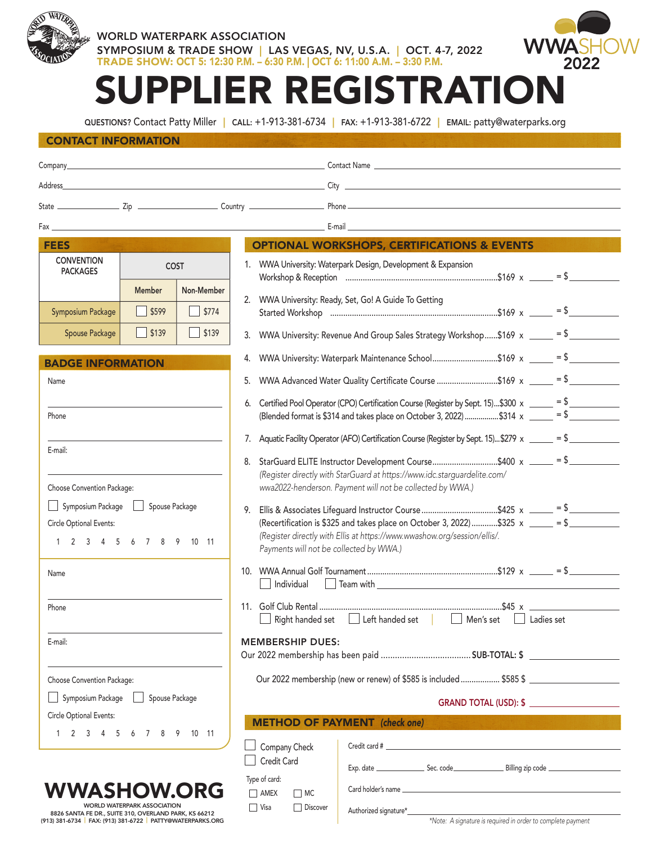

## WORLD WATERPARK ASSOCIATION SYMPOSIUM & TRADE SHOW | LAS VEGAS, NV, U.S.A. | OCT. 4-7, 2022 TRADE SHOW: OCT 5: 12:30 P.M. – 6:30 P.M. | OCT 6: 11:00 A.M. – 3:30 P.M.



## SUPPLIER REGISTRATION

QUESTIONS? Contact Patty Miller | CALL: +1-913-381-6734 | FAX: +1-913-381-6722 | EMAIL: patty@waterparks.org

## CONTACT INFORMATION

| Company____                                                                                                          |                             |            |                                                                                                                                                                                                                                                                                            |  |  |
|----------------------------------------------------------------------------------------------------------------------|-----------------------------|------------|--------------------------------------------------------------------------------------------------------------------------------------------------------------------------------------------------------------------------------------------------------------------------------------------|--|--|
|                                                                                                                      |                             |            |                                                                                                                                                                                                                                                                                            |  |  |
|                                                                                                                      |                             |            |                                                                                                                                                                                                                                                                                            |  |  |
|                                                                                                                      |                             |            | <b>Example 20</b> Participate the contract of the contract of the contract of the contract of the contract of the contract of the contract of the contract of the contract of the contract of the contract of the contract of the c                                                        |  |  |
| <b>FEES</b>                                                                                                          |                             |            | <b>OPTIONAL WORKSHOPS, CERTIFICATIONS &amp; EVENTS</b>                                                                                                                                                                                                                                     |  |  |
| <b>CONVENTION</b><br><b>PACKAGES</b>                                                                                 | <b>COST</b>                 |            | 1. WWA University: Waterpark Design, Development & Expansion                                                                                                                                                                                                                               |  |  |
|                                                                                                                      | <b>Member</b>               | Non-Member | 2. WWA University: Ready, Set, Go! A Guide To Getting<br>$=$ \$                                                                                                                                                                                                                            |  |  |
| <b>Symposium Package</b>                                                                                             | \$599                       | \$774      |                                                                                                                                                                                                                                                                                            |  |  |
| Spouse Package                                                                                                       | \$139                       | \$139      | 3. WWA University: Revenue And Group Sales Strategy Workshop\$169 x $\frac{1}{2}$ = \$                                                                                                                                                                                                     |  |  |
| <b>BADGE INFORMATION</b>                                                                                             |                             |            | WWA University: Waterpark Maintenance School\$169 x _____ = \$<br>4.                                                                                                                                                                                                                       |  |  |
| Name                                                                                                                 |                             |            | WWA Advanced Water Quality Certificate Course \$169 x _____ = \$<br>5.                                                                                                                                                                                                                     |  |  |
| Phone                                                                                                                |                             |            | Certified Pool Operator (CPO) Certification Course (Register by Sept. 15)\$300 x $\frac{ }{ }$ = \$<br>6.<br>(Blended format is \$314 and takes place on October 3, 2022)\$314 x _____ = \$______                                                                                          |  |  |
|                                                                                                                      |                             |            | 7. Aquatic Facility Operator (AFO) Certification Course (Register by Sept. 15)\$279 $\times$ _____ = \$                                                                                                                                                                                    |  |  |
| E-mail:<br>Choose Convention Package:                                                                                |                             |            | StarGuard ELITE Instructor Development Course\$400 x ______ = \$________<br>8.<br>(Register directly with StarGuard at https://www.idc.starguardelite.com/<br>wwa2022-henderson. Payment will not be collected by WWA.)                                                                    |  |  |
| Symposium Package<br>Spouse Package<br>$\mathbf{1}$<br>Circle Optional Events:<br>1 2 3 4 5 6 7 8 9 10 11            |                             |            | Ellis & Associates Lifeguard Instructor Course \$425 x $\_\_\_\_\_$ = \$<br>9.<br>(Recertification is \$325 and takes place on October 3, 2022)\$325 $x$ _____ = \$<br>(Register directly with Ellis at https://www.wwashow.org/session/ellis/.<br>Payments will not be collected by WWA.) |  |  |
| Name                                                                                                                 |                             |            | Individual                                                                                                                                                                                                                                                                                 |  |  |
| Phone                                                                                                                |                             |            | Right handed set Left handed set Men's set<br>  Ladies set                                                                                                                                                                                                                                 |  |  |
| E-mail:                                                                                                              |                             |            | <b>MEMBERSHIP DUES:</b>                                                                                                                                                                                                                                                                    |  |  |
| Choose Convention Package:                                                                                           |                             |            | Our 2022 membership (new or renew) of \$585 is included  \$585 \$                                                                                                                                                                                                                          |  |  |
| Symposium Package                                                                                                    | Spouse Package              |            | GRAND TOTAL (USD): \$                                                                                                                                                                                                                                                                      |  |  |
| Circle Optional Events:                                                                                              |                             |            | <b>METHOD OF PAYMENT</b> (check one)                                                                                                                                                                                                                                                       |  |  |
| 1 2 3 4 5 6 7 8 9 10 11                                                                                              |                             |            | Company Check<br>Credit Card                                                                                                                                                                                                                                                               |  |  |
| <b>WWASHOW.ORG</b>                                                                                                   |                             |            | Type of card:                                                                                                                                                                                                                                                                              |  |  |
| 8826 SANTA FE DR., SUITE 310, OVERLAND PARK, KS 66212<br>(913) 381-6734   FAX: (913) 381-6722   PATTY@WATERPARKS.ORG | WORLD WATERPARK ASSOCIATION |            | $\Box$ AMEX<br>$\Box$ MC<br>Discover<br>$\Box$ Visa<br>Authorized signature*<br>*Note: A signature is required in order to complete payment                                                                                                                                                |  |  |